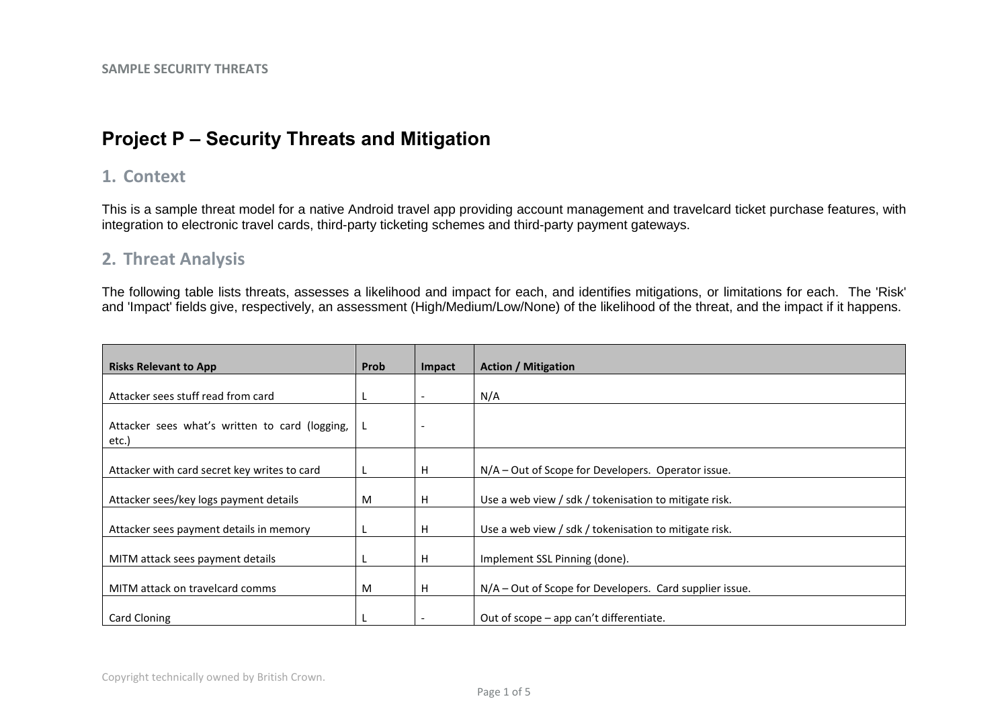# **Project P – Security Threats and Mitigation**

## **1. Context**

This is a sample threat model for a native Android travel app providing account management and travelcard ticket purchase features, with integration to electronic travel cards, third-party ticketing schemes and third-party payment gateways.

### **2. Threat Analysis**

The following table lists threats, assesses a likelihood and impact for each, and identifies mitigations, or limitations for each. The 'Risk' and 'Impact' fields give, respectively, an assessment (High/Medium/Low/None) of the likelihood of the threat, and the impact if it happens.

| <b>Risks Relevant to App</b>                            | Prob | Impact | <b>Action / Mitigation</b>                                |
|---------------------------------------------------------|------|--------|-----------------------------------------------------------|
|                                                         |      |        |                                                           |
| Attacker sees stuff read from card                      | L.   |        | N/A                                                       |
| Attacker sees what's written to card (logging,<br>etc.) | L,   |        |                                                           |
| Attacker with card secret key writes to card            | L    | н      | $N/A$ – Out of Scope for Developers. Operator issue.      |
| Attacker sees/key logs payment details                  | M    | H      | Use a web view / sdk / tokenisation to mitigate risk.     |
| Attacker sees payment details in memory                 |      | н      | Use a web view / sdk / tokenisation to mitigate risk.     |
| MITM attack sees payment details                        |      | н      | Implement SSL Pinning (done).                             |
| MITM attack on travelcard comms                         | M    | H      | $N/A$ – Out of Scope for Developers. Card supplier issue. |
| Card Cloning                                            |      |        | Out of scope – app can't differentiate.                   |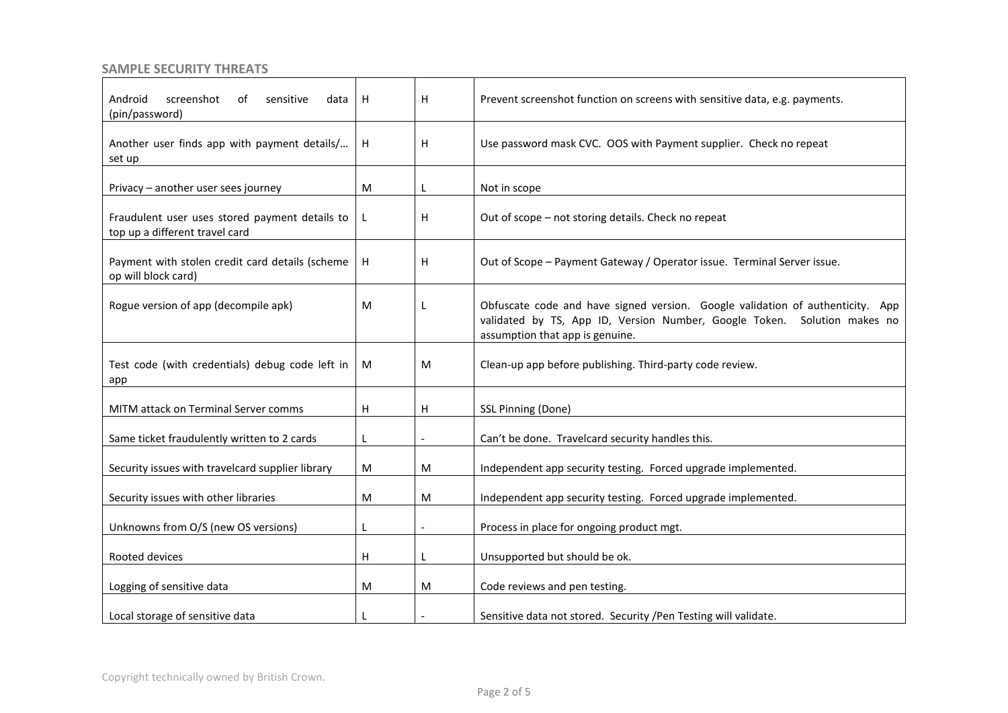| Android<br>screenshot<br>sensitive<br>data<br>ot<br>(pin/password)               | H | н | Prevent screenshot function on screens with sensitive data, e.g. payments.                                                                                                                    |
|----------------------------------------------------------------------------------|---|---|-----------------------------------------------------------------------------------------------------------------------------------------------------------------------------------------------|
| Another user finds app with payment details/<br>set up                           | Н | н | Use password mask CVC. OOS with Payment supplier. Check no repeat                                                                                                                             |
| Privacy - another user sees journey                                              | M | L | Not in scope                                                                                                                                                                                  |
| Fraudulent user uses stored payment details to<br>top up a different travel card | L | н | Out of scope - not storing details. Check no repeat                                                                                                                                           |
| Payment with stolen credit card details (scheme<br>op will block card)           | н | н | Out of Scope - Payment Gateway / Operator issue. Terminal Server issue.                                                                                                                       |
| Rogue version of app (decompile apk)                                             | M | L | Obfuscate code and have signed version. Google validation of authenticity. App<br>validated by TS, App ID, Version Number, Google Token. Solution makes no<br>assumption that app is genuine. |
| Test code (with credentials) debug code left in<br>app                           | M | M | Clean-up app before publishing. Third-party code review.                                                                                                                                      |
| MITM attack on Terminal Server comms                                             | н | H | SSL Pinning (Done)                                                                                                                                                                            |
| Same ticket fraudulently written to 2 cards                                      | L |   | Can't be done. Travelcard security handles this.                                                                                                                                              |
| Security issues with travelcard supplier library                                 | M | M | Independent app security testing. Forced upgrade implemented.                                                                                                                                 |
| Security issues with other libraries                                             | M | M | Independent app security testing. Forced upgrade implemented.                                                                                                                                 |
| Unknowns from O/S (new OS versions)                                              | L |   | Process in place for ongoing product mgt.                                                                                                                                                     |
| Rooted devices                                                                   | н |   | Unsupported but should be ok.                                                                                                                                                                 |
| Logging of sensitive data                                                        | M | M | Code reviews and pen testing.                                                                                                                                                                 |
| Local storage of sensitive data                                                  |   |   | Sensitive data not stored. Security / Pen Testing will validate.                                                                                                                              |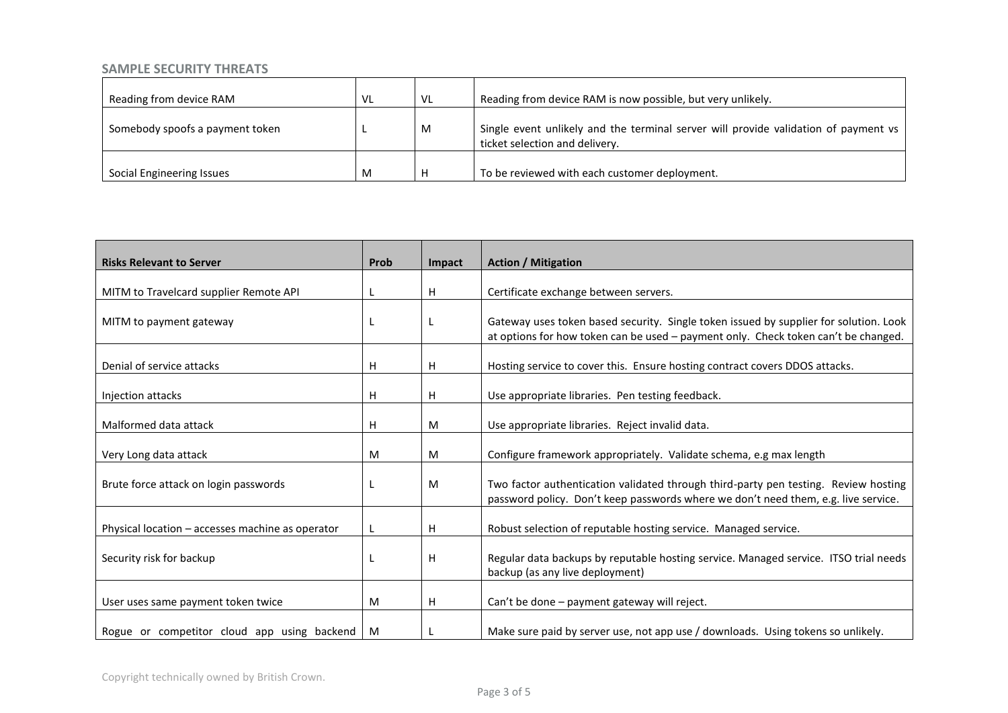| Reading from device RAM         | VL | VL | Reading from device RAM is now possible, but very unlikely.                                                           |
|---------------------------------|----|----|-----------------------------------------------------------------------------------------------------------------------|
| Somebody spoofs a payment token |    | M  | Single event unlikely and the terminal server will provide validation of payment vs<br>ticket selection and delivery. |
| Social Engineering Issues       | M  | Н  | To be reviewed with each customer deployment.                                                                         |

| <b>Risks Relevant to Server</b>                  | Prob | Impact | <b>Action / Mitigation</b>                                                                                                                                                  |
|--------------------------------------------------|------|--------|-----------------------------------------------------------------------------------------------------------------------------------------------------------------------------|
| MITM to Travelcard supplier Remote API           |      | H      | Certificate exchange between servers.                                                                                                                                       |
| MITM to payment gateway                          |      |        | Gateway uses token based security. Single token issued by supplier for solution. Look<br>at options for how token can be used - payment only. Check token can't be changed. |
| Denial of service attacks                        | н    | H      | Hosting service to cover this. Ensure hosting contract covers DDOS attacks.                                                                                                 |
| Injection attacks                                | н    | H      | Use appropriate libraries. Pen testing feedback.                                                                                                                            |
| Malformed data attack                            | н    | M      | Use appropriate libraries. Reject invalid data.                                                                                                                             |
| Very Long data attack                            | M    | M      | Configure framework appropriately. Validate schema, e.g max length                                                                                                          |
| Brute force attack on login passwords            |      | M      | Two factor authentication validated through third-party pen testing. Review hosting<br>password policy. Don't keep passwords where we don't need them, e.g. live service.   |
| Physical location - accesses machine as operator |      | H      | Robust selection of reputable hosting service. Managed service.                                                                                                             |
| Security risk for backup                         |      | H      | Regular data backups by reputable hosting service. Managed service. ITSO trial needs<br>backup (as any live deployment)                                                     |
| User uses same payment token twice               | M    | Н      | Can't be done - payment gateway will reject.                                                                                                                                |
| Rogue or competitor cloud app using backend      | M    |        | Make sure paid by server use, not app use / downloads. Using tokens so unlikely.                                                                                            |

Copyright technically owned by British Crown.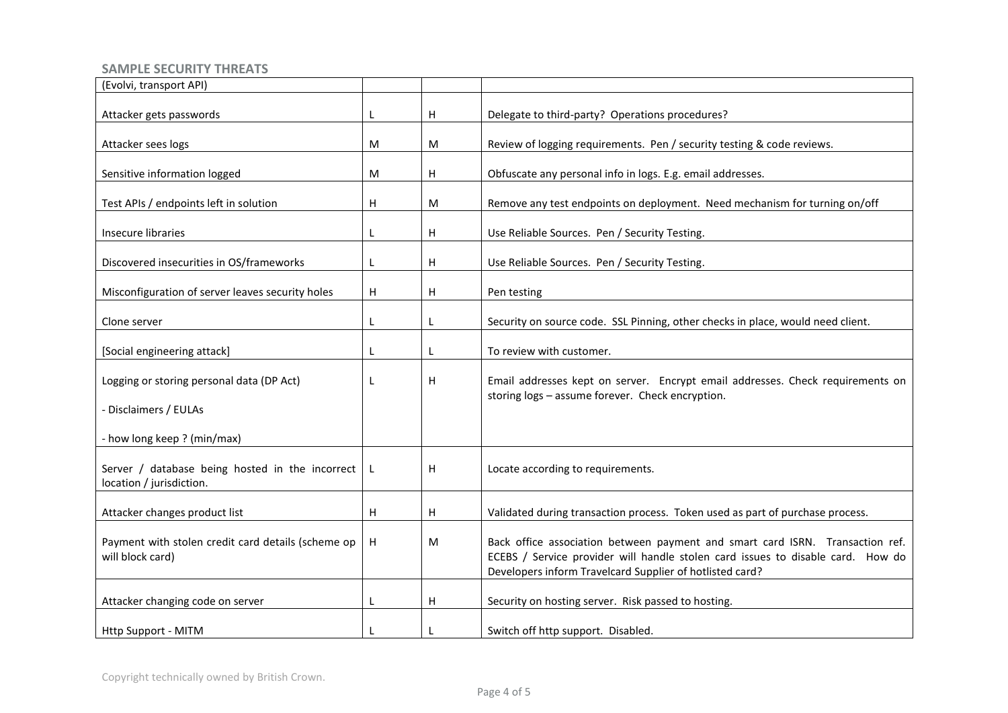| (Evolvi, transport API)                                                     |   |              |                                                                                                                                                                                                                              |
|-----------------------------------------------------------------------------|---|--------------|------------------------------------------------------------------------------------------------------------------------------------------------------------------------------------------------------------------------------|
| Attacker gets passwords                                                     |   | H            | Delegate to third-party? Operations procedures?                                                                                                                                                                              |
| Attacker sees logs                                                          | М | M            | Review of logging requirements. Pen / security testing & code reviews.                                                                                                                                                       |
| Sensitive information logged                                                | М | H            | Obfuscate any personal info in logs. E.g. email addresses.                                                                                                                                                                   |
| Test APIs / endpoints left in solution                                      | н | M            | Remove any test endpoints on deployment. Need mechanism for turning on/off                                                                                                                                                   |
| Insecure libraries                                                          |   | H            | Use Reliable Sources. Pen / Security Testing.                                                                                                                                                                                |
| Discovered insecurities in OS/frameworks                                    |   | $\mathsf{H}$ | Use Reliable Sources. Pen / Security Testing.                                                                                                                                                                                |
| Misconfiguration of server leaves security holes                            | н | H            | Pen testing                                                                                                                                                                                                                  |
| Clone server                                                                |   | L            | Security on source code. SSL Pinning, other checks in place, would need client.                                                                                                                                              |
| [Social engineering attack]                                                 |   | L            | To review with customer.                                                                                                                                                                                                     |
| Logging or storing personal data (DP Act)                                   |   | H            | Email addresses kept on server. Encrypt email addresses. Check requirements on<br>storing logs - assume forever. Check encryption.                                                                                           |
| - Disclaimers / EULAs                                                       |   |              |                                                                                                                                                                                                                              |
| - how long keep ? (min/max)                                                 |   |              |                                                                                                                                                                                                                              |
| Server / database being hosted in the incorrect<br>location / jurisdiction. | L | H            | Locate according to requirements.                                                                                                                                                                                            |
| Attacker changes product list                                               | н | H            | Validated during transaction process. Token used as part of purchase process.                                                                                                                                                |
| Payment with stolen credit card details (scheme op<br>will block card)      | H | M            | Back office association between payment and smart card ISRN. Transaction ref.<br>ECEBS / Service provider will handle stolen card issues to disable card. How do<br>Developers inform Travelcard Supplier of hotlisted card? |
| Attacker changing code on server                                            | L | H            | Security on hosting server. Risk passed to hosting.                                                                                                                                                                          |
| <b>Http Support - MITM</b>                                                  |   |              | Switch off http support. Disabled.                                                                                                                                                                                           |